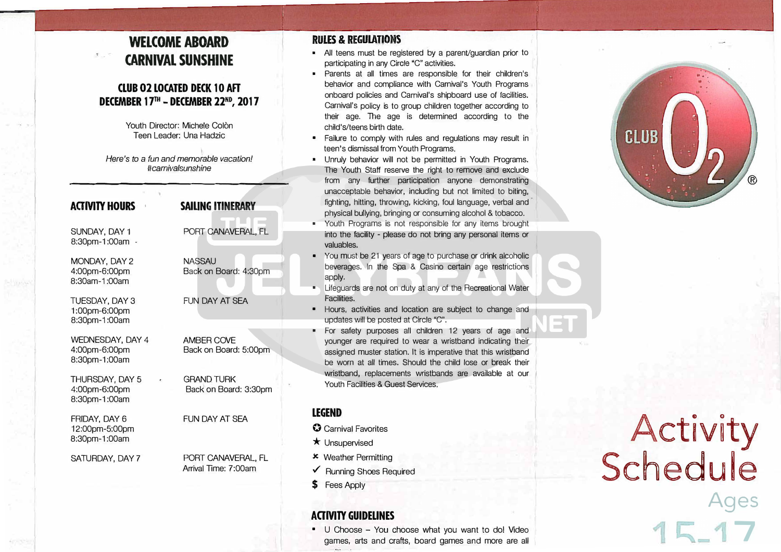# **WELCOME ABOARD CARNIVAL SUNSHINE**

#### **CLUB 02 LOCATED DECK 10 AFT DECEMBER 17™ - DECEMBER 22ND, 2017**

Youth Director: Michele Colòn Teen Leader: Una Hadzic

*Here's to a fun and memorable vacation! #camivalsunshine* 

| <b>ACTIVITY HOURS</b>                                     | <b>SAILING ITINERARY</b>                   |
|-----------------------------------------------------------|--------------------------------------------|
| SUNDAY, DAY 1<br>8:30pm-1:00am -                          | PORT CANAVERAL, FL                         |
| MONDAY, DAY 2<br>4:00pm-6:00pm<br>8:30am-1:00am           | <b>NASSAU</b><br>Back on Board: 4:30pm     |
| <b>TUESDAY, DAY 3</b><br>1:00pm-6:00pm<br>8:30pm-1:00am   | FUN DAY AT SFA                             |
| <b>WEDNESDAY, DAY 4</b><br>4:00pm-6:00pm<br>8:30pm-1:00am | <b>AMBER COVE</b><br>Back on Board: 5:00pm |
| THURSDAY, DAY 5<br>4:00pm-6:00pm<br>8:30pm-1:00am         | <b>GRAND TURK</b><br>Back on Board: 3:30pm |
| FRIDAY, DAY 6<br>12:00pm-5:00pm<br>8:30pm-1:00am          | FUN DAY AT SFA                             |
| SATURDAY, DAY 7                                           | PORT CANAVERAL, FL<br>Arrival Time: 7:00am |
|                                                           |                                            |

#### **RULES & REGULATIONS**

- All teens must be registered by a parent/guardian prior to participating in any *Circle* "C" activities.
- Parents at all times are responsible for their children's behavior and compliance with Carnival's Youth Programs onboard policies and Carnival's shipboard use of facilities. Carnival's policy is to group children together according to their age. The age is determined according to the child's/teens birth date.
- Failure to comply with rules and regulations may result in teen's dismissal from Youth Programs.
- Unruly behavior will not be permitted in Youth Programs. The Youth Staff reserve the right to remove and exclude from any further participation anyone demonstrating unacceptable behavior, including but not limited to biting, fighting, hitting, throwing, kicking, foul language, verbal and physical bullying, bringing or consuming alcohol & tobacco.
- Youth Programs is not responsible for any items brought into the facility - please do not bring any personal items or valuables.
- You must be 21 years of age to purchase or drink alcoholic beverages. In the Spa & Casino certain age restrictions apply.
- • Lifeguards are not on duty at any of the Recreational Water Facilities.
- Hours, activities and location are subject to change and updates will be posted at Circle "C".
- For safety purposes all children 12 years of age and younger are required to wear a wristband indicating their assigned muster station. It is imperative that this wristband be worn at all times. Should the child lose or break their wristband, replacements wristbands are available at our Youth Facilities & Guest Services.

#### **LEGEND**

- **0** Carnival Favorites
- \* Unsupervised
- $x$  Weather Permitting
- ../ Running Shoes Required
- \$ Fees Apply

# **ACTMTY GUIDELINES**

• U Choose - You choose what you want to do! Video games, arts and crafts, board games and more are all



# Activity Schedule **Ages 7**